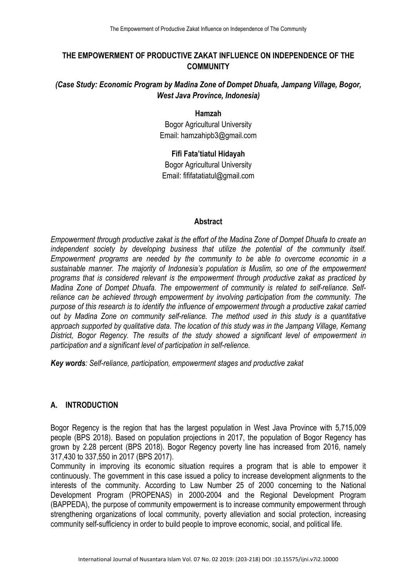# **THE EMPOWERMENT OF PRODUCTIVE ZAKAT INFLUENCE ON INDEPENDENCE OF THE COMMUNITY**

# *(Case Study: Economic Program by Madina Zone of Dompet Dhuafa, Jampang Village, Bogor, West Java Province, Indonesia)*

#### **Hamzah**

Bogor Agricultural University Email: hamzahipb3@gmail.com

# **Fifi Fata'tiatul Hidayah**

Bogor Agricultural University Email: fififatatiatul@gmail.com

### **Abstract**

*Empowerment through productive zakat is the effort of the Madina Zone of Dompet Dhuafa to create an independent society by developing business that utilize the potential of the community itself. Empowerment programs are needed by the community to be able to overcome economic in a sustainable manner. The majority of Indonesia's population is Muslim, so one of the empowerment programs that is considered relevant is the empowerment through productive zakat as practiced by Madina Zone of Dompet Dhuafa. The empowerment of community is related to self-reliance. Selfreliance can be achieved through empowerment by involving participation from the community. The purpose of this research is to identify the influence of empowerment through a productive zakat carried out by Madina Zone on community self-reliance. The method used in this study is a quantitative approach supported by qualitative data. The location of this study was in the Jampang Village, Kemang District, Bogor Regency. The results of the study showed a significant level of empowerment in participation and a significant level of participation in self-relience.*

*Key words: Self-reliance, participation, empowerment stages and productive zakat*

# **A. INTRODUCTION**

Bogor Regency is the region that has the largest population in West Java Province with 5,715,009 people (BPS 2018). Based on population projections in 2017, the population of Bogor Regency has grown by 2.28 percent (BPS 2018). Bogor Regency poverty line has increased from 2016, namely 317,430 to 337,550 in 2017 (BPS 2017).

Community in improving its economic situation requires a program that is able to empower it continuously. The government in this case issued a policy to increase development alignments to the interests of the community. According to Law Number 25 of 2000 concerning to the National Development Program (PROPENAS) in 2000-2004 and the Regional Development Program (BAPPEDA), the purpose of community empowerment is to increase community empowerment through strengthening organizations of local community, poverty alleviation and social protection, increasing community self-sufficiency in order to build people to improve economic, social, and political life.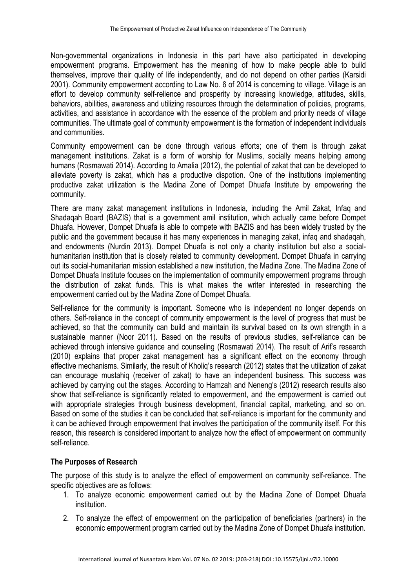Non-governmental organizations in Indonesia in this part have also participated in developing empowerment programs. Empowerment has the meaning of how to make people able to build themselves, improve their quality of life independently, and do not depend on other parties (Karsidi 2001). Community empowerment according to Law No. 6 of 2014 is concerning to village. Village is an effort to develop community self-relience and prosperity by increasing knowledge, attitudes, skills, behaviors, abilities, awareness and utilizing resources through the determination of policies, programs, activities, and assistance in accordance with the essence of the problem and priority needs of village communities. The ultimate goal of community empowerment is the formation of independent individuals and communities.

Community empowerment can be done through various efforts; one of them is through zakat management institutions. Zakat is a form of worship for Muslims, socially means helping among humans (Rosmawati 2014). According to Amalia (2012), the potential of zakat that can be developed to alleviate poverty is zakat, which has a productive dispotion. One of the institutions implementing productive zakat utilization is the Madina Zone of Dompet Dhuafa Institute by empowering the community.

There are many zakat management institutions in Indonesia, including the Amil Zakat, Infaq and Shadaqah Board (BAZIS) that is a government amil institution, which actually came before Dompet Dhuafa. However, Dompet Dhuafa is able to compete with BAZIS and has been widely trusted by the public and the government because it has many experiences in managing zakat, infaq and shadaqah, and endowments (Nurdin 2013). Dompet Dhuafa is not only a charity institution but also a socialhumanitarian institution that is closely related to community development. Dompet Dhuafa in carrying out its social-humanitarian mission established a new institution, the Madina Zone. The Madina Zone of Dompet Dhuafa Institute focuses on the implementation of community empowerment programs through the distribution of zakat funds. This is what makes the writer interested in researching the empowerment carried out by the Madina Zone of Dompet Dhuafa.

Self-reliance for the community is important. Someone who is independent no longer depends on others. Self-reliance in the concept of community empowerment is the level of progress that must be achieved, so that the community can build and maintain its survival based on its own strength in a sustainable manner (Noor 2011). Based on the results of previous studies, self-reliance can be achieved through intensive guidance and counseling (Rosmawati 2014). The result of Arif's research (2010) explains that proper zakat management has a significant effect on the economy through effective mechanisms. Similarly, the result of Kholiq's research (2012) states that the utilization of zakat can encourage mustahiq (receiver of zakat) to have an independent business. This success was achieved by carrying out the stages. According to Hamzah and Neneng's (2012) research results also show that self-reliance is significantly related to empowerment, and the empowerment is carried out with appropriate strategies through business development, financial capital, marketing, and so on. Based on some of the studies it can be concluded that self-reliance is important for the community and it can be achieved through empowerment that involves the participation of the community itself. For this reason, this research is considered important to analyze how the effect of empowerment on community self-reliance.

# **The Purposes of Research**

The purpose of this study is to analyze the effect of empowerment on community self-reliance. The specific objectives are as follows:

- 1. To analyze economic empowerment carried out by the Madina Zone of Dompet Dhuafa institution.
- 2. To analyze the effect of empowerment on the participation of beneficiaries (partners) in the economic empowerment program carried out by the Madina Zone of Dompet Dhuafa institution.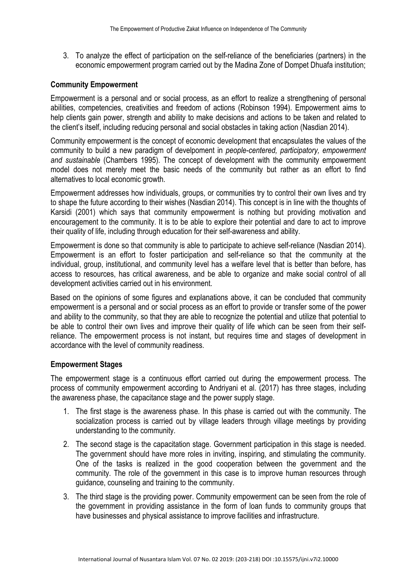3. To analyze the effect of participation on the self-reliance of the beneficiaries (partners) in the economic empowerment program carried out by the Madina Zone of Dompet Dhuafa institution;

#### **Community Empowerment**

Empowerment is a personal and or social process, as an effort to realize a strengthening of personal abilities, competencies, creativities and freedom of actions (Robinson 1994). Empowerment aims to help clients gain power, strength and ability to make decisions and actions to be taken and related to the client's itself, including reducing personal and social obstacles in taking action (Nasdian 2014).

Community empowerment is the concept of economic development that encapsulates the values of the community to build a new paradigm of develpoment in *people-centered, participatory, empowerment and sustainable* (Chambers 1995). The concept of development with the community empowerment model does not merely meet the basic needs of the community but rather as an effort to find alternatives to local economic growth.

Empowerment addresses how individuals, groups, or communities try to control their own lives and try to shape the future according to their wishes (Nasdian 2014). This concept is in line with the thoughts of Karsidi (2001) which says that community empowerment is nothing but providing motivation and encouragement to the community. It is to be able to explore their potential and dare to act to improve their quality of life, including through education for their self-awareness and ability.

Empowerment is done so that community is able to participate to achieve self-reliance (Nasdian 2014). Empowerment is an effort to foster participation and self-reliance so that the community at the individual, group, institutional, and community level has a welfare level that is better than before, has access to resources, has critical awareness, and be able to organize and make social control of all development activities carried out in his environment.

Based on the opinions of some figures and explanations above, it can be concluded that community empowerment is a personal and or social process as an effort to provide or transfer some of the power and ability to the community, so that they are able to recognize the potential and utilize that potential to be able to control their own lives and improve their quality of life which can be seen from their selfreliance. The empowerment process is not instant, but requires time and stages of development in accordance with the level of community readiness.

#### **Empowerment Stages**

The empowerment stage is a continuous effort carried out during the empowerment process. The process of community empowerment according to Andriyani et al. (2017) has three stages, including the awareness phase, the capacitance stage and the power supply stage.

- 1. The first stage is the awareness phase. In this phase is carried out with the community. The socialization process is carried out by village leaders through village meetings by providing understanding to the community.
- 2. The second stage is the capacitation stage. Government participation in this stage is needed. The government should have more roles in inviting, inspiring, and stimulating the community. One of the tasks is realized in the good cooperation between the government and the community. The role of the government in this case is to improve human resources through guidance, counseling and training to the community.
- 3. The third stage is the providing power. Community empowerment can be seen from the role of the government in providing assistance in the form of loan funds to community groups that have businesses and physical assistance to improve facilities and infrastructure.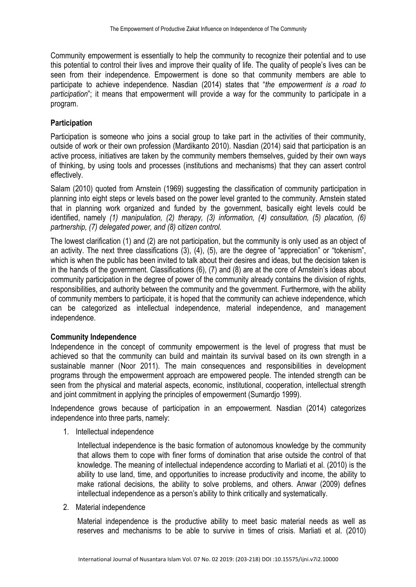Community empowerment is essentially to help the community to recognize their potential and to use this potential to control their lives and improve their quality of life. The quality of people's lives can be seen from their independence. Empowerment is done so that community members are able to participate to achieve independence. Nasdian (2014) states that "*the empowerment is a road to participation*"; it means that empowerment will provide a way for the community to participate in a program.

# **Participation**

Participation is someone who joins a social group to take part in the activities of their community, outside of work or their own profession (Mardikanto 2010). Nasdian (2014) said that participation is an active process, initiatives are taken by the community members themselves, guided by their own ways of thinking, by using tools and processes (institutions and mechanisms) that they can assert control effectively.

Salam (2010) quoted from Arnstein (1969) suggesting the classification of community participation in planning into eight steps or levels based on the power level granted to the community. Arnstein stated that in planning work organized and funded by the government, basically eight levels could be identified, namely *(1) manipulation, (2) therapy, (3) information, (4) consultation, (5) placation, (6) partnership, (7) delegated power, and (8) citizen control.*

The lowest clarification (1) and (2) are not participation, but the community is only used as an object of an activity. The next three classifications (3), (4), (5), are the degree of "appreciation" or "tokenism", which is when the public has been invited to talk about their desires and ideas, but the decision taken is in the hands of the government. Classifications (6), (7) and (8) are at the core of Arnstein's ideas about community participation in the degree of power of the community already contains the division of rights, responsibilities, and authority between the community and the government. Furthermore, with the ability of community members to participate, it is hoped that the community can achieve independence, which can be categorized as intellectual independence, material independence, and management independence.

# **Community Independence**

Independence in the concept of community empowerment is the level of progress that must be achieved so that the community can build and maintain its survival based on its own strength in a sustainable manner (Noor 2011). The main consequences and responsibilities in development programs through the empowerment approach are empowered people. The intended strength can be seen from the physical and material aspects, economic, institutional, cooperation, intellectual strength and joint commitment in applying the principles of empowerment (Sumardjo 1999).

Independence grows because of participation in an empowerment. Nasdian (2014) categorizes independence into three parts, namely:

1. Intellectual independence

Intellectual independence is the basic formation of autonomous knowledge by the community that allows them to cope with finer forms of domination that arise outside the control of that knowledge. The meaning of intellectual independence according to Marliati et al. (2010) is the ability to use land, time, and opportunities to increase productivity and income, the ability to make rational decisions, the ability to solve problems, and others. Anwar (2009) defines intellectual independence as a person's ability to think critically and systematically.

2. Material independence

Material independence is the productive ability to meet basic material needs as well as reserves and mechanisms to be able to survive in times of crisis. Marliati et al. (2010)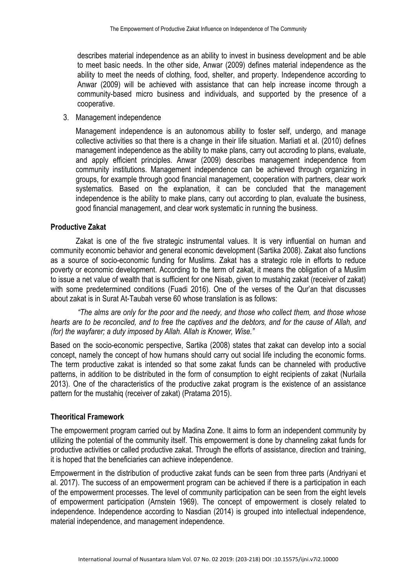describes material independence as an ability to invest in business development and be able to meet basic needs. In the other side, Anwar (2009) defines material independence as the ability to meet the needs of clothing, food, shelter, and property. Independence according to Anwar (2009) will be achieved with assistance that can help increase income through a community-based micro business and individuals, and supported by the presence of a cooperative.

3. Management independence

Management independence is an autonomous ability to foster self, undergo, and manage collective activities so that there is a change in their life situation. Marliati et al. (2010) defines management independence as the ability to make plans, carry out accroding to plans, evaluate, and apply efficient principles. Anwar (2009) describes management independence from community institutions. Management independence can be achieved through organizing in groups, for example through good financial management, cooperation with partners, clear work systematics. Based on the explanation, it can be concluded that the management independence is the ability to make plans, carry out according to plan, evaluate the business, good financial management, and clear work systematic in running the business.

#### **Productive Zakat**

Zakat is one of the five strategic instrumental values. It is very influential on human and community economic behavior and general economic development (Sartika 2008). Zakat also functions as a source of socio-economic funding for Muslims. Zakat has a strategic role in efforts to reduce poverty or economic development. According to the term of zakat, it means the obligation of a Muslim to issue a net value of wealth that is sufficient for one Nisab, given to mustahiq zakat (receiver of zakat) with some predetermined conditions (Fuadi 2016). One of the verses of the Qur'an that discusses about zakat is in Surat At-Taubah verse 60 whose translation is as follows:

*"The alms are only for the poor and the needy, and those who collect them, and those whose hearts are to be reconciled, and to free the captives and the debtors, and for the cause of Allah, and (for) the wayfarer; a duty imposed by Allah. Allah is Knower, Wise."*

Based on the socio-economic perspective, Sartika (2008) states that zakat can develop into a social concept, namely the concept of how humans should carry out social life including the economic forms. The term productive zakat is intended so that some zakat funds can be channeled with productive patterns, in addition to be distributed in the form of consumption to eight recipients of zakat (Nurlaila 2013). One of the characteristics of the productive zakat program is the existence of an assistance pattern for the mustahiq (receiver of zakat) (Pratama 2015).

### **Theoritical Framework**

The empowerment program carried out by Madina Zone. It aims to form an independent community by utilizing the potential of the community itself. This empowerment is done by channeling zakat funds for productive activities or called productive zakat. Through the efforts of assistance, direction and training, it is hoped that the beneficiaries can achieve independence.

Empowerment in the distribution of productive zakat funds can be seen from three parts (Andriyani et al. 2017). The success of an empowerment program can be achieved if there is a participation in each of the empowerment processes. The level of community participation can be seen from the eight levels of empowerment participation (Arnstein 1969). The concept of empowerment is closely related to independence. Independence according to Nasdian (2014) is grouped into intellectual independence, material independence, and management independence.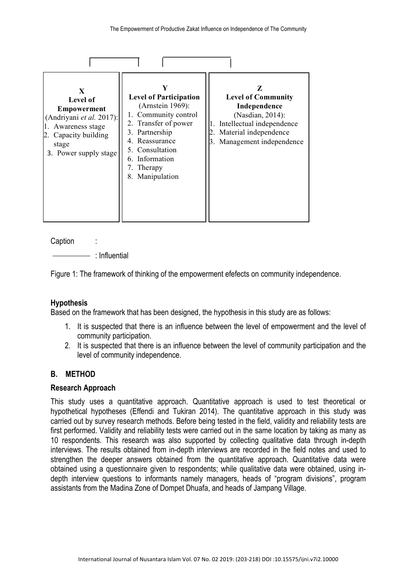| X<br>Level of<br><b>Empowerment</b><br>(Andriyani et al. 2017):<br>Awareness stage<br>Capacity building<br>stage<br>3. Power supply stage | <b>Level of Participation</b><br>(Arnstein 1969):<br>1. Community control<br>2. Transfer of power<br>3. Partnership<br>4. Reassurance<br>5. Consultation<br>6. Information<br>7. Therapy<br>Manipulation<br>8. | Z<br><b>Level of Community</b><br>Independence<br>(Nasdian, 2014):<br>Intellectual independence<br>Material independence<br>3. Management independence |
|-------------------------------------------------------------------------------------------------------------------------------------------|----------------------------------------------------------------------------------------------------------------------------------------------------------------------------------------------------------------|--------------------------------------------------------------------------------------------------------------------------------------------------------|

Caption :

: Influential

Figure 1: The framework of thinking of the empowerment efefects on community independence.

# **Hypothesis**

Based on the framework that has been designed, the hypothesis in this study are as follows:

- 1. It is suspected that there is an influence between the level of empowerment and the level of community participation.
- 2. It is suspected that there is an influence between the level of community participation and the level of community independence.

### **B. METHOD**

### **Research Approach**

This study uses a quantitative approach. Quantitative approach is used to test theoretical or hypothetical hypotheses (Effendi and Tukiran 2014). The quantitative approach in this study was carried out by survey research methods. Before being tested in the field, validity and reliability tests are first performed. Validity and reliability tests were carried out in the same location by taking as many as 10 respondents. This research was also supported by collecting qualitative data through in-depth interviews. The results obtained from in-depth interviews are recorded in the field notes and used to strengthen the deeper answers obtained from the quantitative approach. Quantitative data were obtained using a questionnaire given to respondents; while qualitative data were obtained, using indepth interview questions to informants namely managers, heads of "program divisions", program assistants from the Madina Zone of Dompet Dhuafa, and heads of Jampang Village.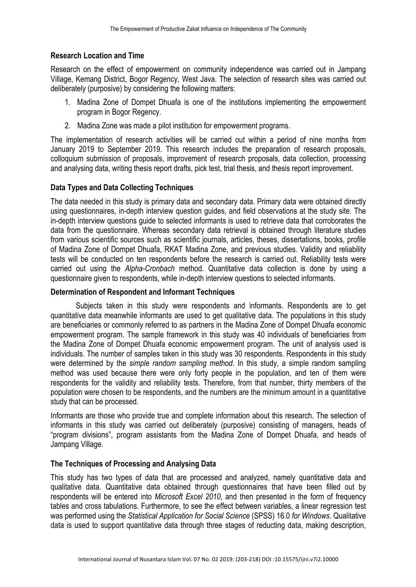# **Research Location and Time**

Research on the effect of empowerment on community independence was carried out in Jampang Village, Kemang District, Bogor Regency, West Java. The selection of research sites was carried out deliberately (purposive) by considering the following matters:

- 1. Madina Zone of Dompet Dhuafa is one of the institutions implementing the empowerment program in Bogor Regency.
- 2. Madina Zone was made a pilot institution for empowerment programs.

The implementation of research activities will be carried out within a period of nine months from January 2019 to September 2019. This research includes the preparation of research proposals, colloquium submission of proposals, improvement of research proposals, data collection, processing and analysing data, writing thesis report drafts, pick test, trial thesis, and thesis report improvement.

## **Data Types and Data Collecting Techniques**

The data needed in this study is primary data and secondary data. Primary data were obtained directly using questionnaires, in-depth interview question guides, and field observations at the study site. The in-depth interview questions guide to selected informants is used to retrieve data that corroborates the data from the questionnaire. Whereas secondary data retrieval is obtained through literature studies from various scientific sources such as scientific journals, articles, theses, dissertations, books, profile of Madina Zone of Dompet Dhuafa, RKAT Madina Zone, and previous studies. Validity and reliability tests will be conducted on ten respondents before the research is carried out. Reliability tests were carried out using the *Alpha-Cronbach* method. Quantitative data collection is done by using a questionnaire given to respondents, while in-depth interview questions to selected informants.

## **Determination of Respondent and Informant Techniques**

Subjects taken in this study were respondents and informants. Respondents are to get quantitative data meanwhile informants are used to get qualitative data. The populations in this study are beneficiaries or commonly referred to as partners in the Madina Zone of Dompet Dhuafa economic empowerment program. The sample framework in this study was 40 individuals of beneficiaries from the Madina Zone of Dompet Dhuafa economic empowerment program. The unit of analysis used is individuals. The number of samples taken in this study was 30 respondents. Respondents in this study were determined by the *simple random sampling method*. In this study, a simple random sampling method was used because there were only forty people in the population, and ten of them were respondents for the validity and reliability tests. Therefore, from that number, thirty members of the population were chosen to be respondents, and the numbers are the minimum amount in a quantitative study that can be processed.

Informants are those who provide true and complete information about this research. The selection of informants in this study was carried out deliberately (purposive) consisting of managers, heads of "program divisions", program assistants from the Madina Zone of Dompet Dhuafa, and heads of Jampang Village.

### **The Techniques of Processing and Analysing Data**

This study has two types of data that are processed and analyzed, namely quantitative data and qualitative data. Quantitative data obtained through questionnaires that have been filled out by respondents will be entered into *Microsoft Excel 2010*, and then presented in the form of frequency tables and cross tabulations. Furthermore, to see the effect between variables, a linear regression test was performed using the *Statistical Application for Social Science* (SPSS) 16.0 *for Windows*. Qualitative data is used to support quantitative data through three stages of reducting data, making description,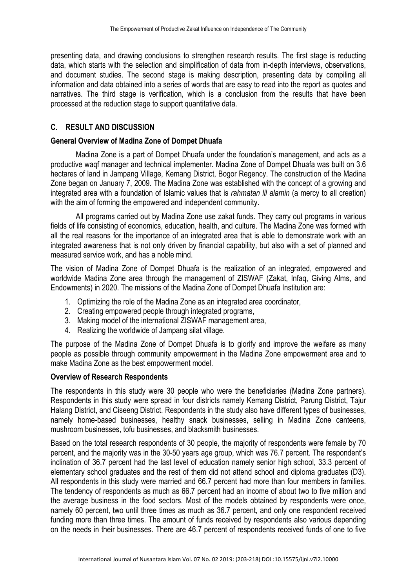presenting data, and drawing conclusions to strengthen research results. The first stage is reducting data, which starts with the selection and simplification of data from in-depth interviews, observations, and document studies. The second stage is making description, presenting data by compiling all information and data obtained into a series of words that are easy to read into the report as quotes and narratives. The third stage is verification, which is a conclusion from the results that have been processed at the reduction stage to support quantitative data.

# **C. RESULT AND DISCUSSION**

### **General Overview of Madina Zone of Dompet Dhuafa**

Madina Zone is a part of Dompet Dhuafa under the foundation's management, and acts as a productive waqf manager and technical implementer. Madina Zone of Dompet Dhuafa was built on 3.6 hectares of land in Jampang Village, Kemang District, Bogor Regency. The construction of the Madina Zone began on January 7, 2009. The Madina Zone was established with the concept of a growing and integrated area with a foundation of Islamic values that is *rahmatan lil alamin* (a mercy to all creation) with the aim of forming the empowered and independent community.

All programs carried out by Madina Zone use zakat funds. They carry out programs in various fields of life consisting of economics, education, health, and culture. The Madina Zone was formed with all the real reasons for the importance of an integrated area that is able to demonstrate work with an integrated awareness that is not only driven by financial capability, but also with a set of planned and measured service work, and has a noble mind.

The vision of Madina Zone of Dompet Dhuafa is the realization of an integrated, empowered and worldwide Madina Zone area through the management of ZISWAF (Zakat, Infaq, Giving Alms, and Endowments) in 2020. The missions of the Madina Zone of Dompet Dhuafa Institution are:

- 1. Optimizing the role of the Madina Zone as an integrated area coordinator,
- 2. Creating empowered people through integrated programs,
- 3. Making model of the international ZISWAF management area,
- 4. Realizing the worldwide of Jampang silat village.

The purpose of the Madina Zone of Dompet Dhuafa is to glorify and improve the welfare as many people as possible through community empowerment in the Madina Zone empowerment area and to make Madina Zone as the best empowerment model.

### **Overview of Research Respondents**

The respondents in this study were 30 people who were the beneficiaries (Madina Zone partners). Respondents in this study were spread in four districts namely Kemang District, Parung District, Tajur Halang District, and Ciseeng District. Respondents in the study also have different types of businesses, namely home-based businesses, healthy snack businesses, selling in Madina Zone canteens, mushroom businesses, tofu businesses, and blacksmith businesses.

Based on the total research respondents of 30 people, the majority of respondents were female by 70 percent, and the majority was in the 30-50 years age group, which was 76.7 percent. The respondent's inclination of 36.7 percent had the last level of education namely senior high school, 33.3 percent of elementary school graduates and the rest of them did not attend school and diploma graduates (D3). All respondents in this study were married and 66.7 percent had more than four members in families. The tendency of respondents as much as 66.7 percent had an income of about two to five million and the average business in the food sectors. Most of the models obtained by respondents were once, namely 60 percent, two until three times as much as 36.7 percent, and only one respondent received funding more than three times. The amount of funds received by respondents also various depending on the needs in their businesses. There are 46.7 percent of respondents received funds of one to five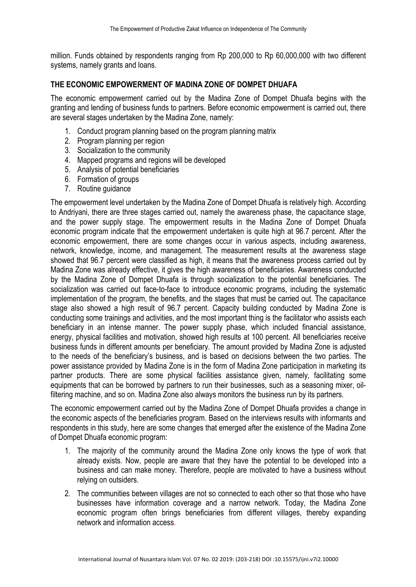million. Funds obtained by respondents ranging from Rp 200,000 to Rp 60,000,000 with two different systems, namely grants and loans.

# **THE ECONOMIC EMPOWERMENT OF MADINA ZONE OF DOMPET DHUAFA**

The economic empowerment carried out by the Madina Zone of Dompet Dhuafa begins with the granting and lending of business funds to partners. Before economic empowerment is carried out, there are several stages undertaken by the Madina Zone, namely:

- 1. Conduct program planning based on the program planning matrix
- 2. Program planning per region
- 3. Socialization to the community
- 4. Mapped programs and regions will be developed
- 5. Analysis of potential beneficiaries
- 6. Formation of groups
- 7. Routine guidance

The empowerment level undertaken by the Madina Zone of Dompet Dhuafa is relatively high. According to Andriyani, there are three stages carried out, namely the awareness phase, the capacitance stage, and the power supply stage. The empowerment results in the Madina Zone of Dompet Dhuafa economic program indicate that the empowerment undertaken is quite high at 96.7 percent. After the economic empowerment, there are some changes occur in various aspects, including awareness, network, knowledge, income, and management. The measurement results at the awareness stage showed that 96.7 percent were classified as high, it means that the awareness process carried out by Madina Zone was already effective, it gives the high awareness of beneficiaries. Awareness conducted by the Madina Zone of Dompet Dhuafa is through socialization to the potential beneficiaries. The socialization was carried out face-to-face to introduce economic programs, including the systematic implementation of the program, the benefits, and the stages that must be carried out. The capacitance stage also showed a high result of 96.7 percent. Capacity building conducted by Madina Zone is conducting some trainings and activities, and the most important thing is the facilitator who assists each beneficiary in an intense manner. The power supply phase, which included financial assistance, energy, physical facilities and motivation, showed high results at 100 percent. All beneficiaries receive business funds in different amounts per beneficiary. The amount provided by Madina Zone is adjusted to the needs of the beneficiary's business, and is based on decisions between the two parties. The power assistance provided by Madina Zone is in the form of Madina Zone participation in marketing its partner products. There are some physical facilities assistance given, namely, facilitating some equipments that can be borrowed by partners to run their businesses, such as a seasoning mixer, oilfiltering machine, and so on. Madina Zone also always monitors the business run by its partners.

The economic empowerment carried out by the Madina Zone of Dompet Dhuafa provides a change in the economic aspects of the beneficiaries program. Based on the interviews results with informants and respondents in this study, here are some changes that emerged after the existence of the Madina Zone of Dompet Dhuafa economic program:

- 1. The majority of the community around the Madina Zone only knows the type of work that already exists. Now, people are aware that they have the potential to be developed into a business and can make money. Therefore, people are motivated to have a business without relying on outsiders.
- 2. The communities between villages are not so connected to each other so that those who have businesses have information coverage and a narrow network. Today, the Madina Zone economic program often brings beneficiaries from different villages, thereby expanding network and information access.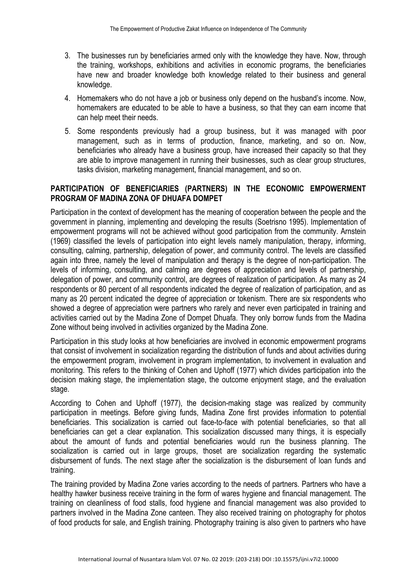- 3. The businesses run by beneficiaries armed only with the knowledge they have. Now, through the training, workshops, exhibitions and activities in economic programs, the beneficiaries have new and broader knowledge both knowledge related to their business and general knowledge.
- 4. Homemakers who do not have a job or business only depend on the husband's income. Now, homemakers are educated to be able to have a business, so that they can earn income that can help meet their needs.
- 5. Some respondents previously had a group business, but it was managed with poor management, such as in terms of production, finance, marketing, and so on. Now, beneficiaries who already have a business group, have increased their capacity so that they are able to improve management in running their businesses, such as clear group structures, tasks division, marketing management, financial management, and so on.

# **PARTICIPATION OF BENEFICIARIES (PARTNERS) IN THE ECONOMIC EMPOWERMENT PROGRAM OF MADINA ZONA OF DHUAFA DOMPET**

Participation in the context of development has the meaning of cooperation between the people and the government in planning, implementing and developing the results (Soetrisno 1995). Implementation of empowerment programs will not be achieved without good participation from the community. Arnstein (1969) classified the levels of participation into eight levels namely manipulation, therapy, informing, consulting, calming, partnership, delegation of power, and community control. The levels are classified again into three, namely the level of manipulation and therapy is the degree of non-participation. The levels of informing, consulting, and calming are degrees of appreciation and levels of partnership, delegation of power, and community control, are degrees of realization of participation. As many as 24 respondents or 80 percent of all respondents indicated the degree of realization of participation, and as many as 20 percent indicated the degree of appreciation or tokenism. There are six respondents who showed a degree of appreciation were partners who rarely and never even participated in training and activities carried out by the Madina Zone of Dompet Dhuafa. They only borrow funds from the Madina Zone without being involved in activities organized by the Madina Zone.

Participation in this study looks at how beneficiaries are involved in economic empowerment programs that consist of involvement in socialization regarding the distribution of funds and about activities during the empowerment program, involvement in program implementation, to involvement in evaluation and monitoring. This refers to the thinking of Cohen and Uphoff (1977) which divides participation into the decision making stage, the implementation stage, the outcome enjoyment stage, and the evaluation stage.

According to Cohen and Uphoff (1977), the decision-making stage was realized by community participation in meetings. Before giving funds, Madina Zone first provides information to potential beneficiaries. This socialization is carried out face-to-face with potential beneficiaries, so that all beneficiaries can get a clear explanation. This socialization discussed many things, it is especially about the amount of funds and potential beneficiaries would run the business planning. The socialization is carried out in large groups, thoset are socialization regarding the systematic disbursement of funds. The next stage after the socialization is the disbursement of loan funds and training.

The training provided by Madina Zone varies according to the needs of partners. Partners who have a healthy hawker business receive training in the form of wares hygiene and financial management. The training on cleanliness of food stalls, food hygiene and financial management was also provided to partners involved in the Madina Zone canteen. They also received training on photography for photos of food products for sale, and English training. Photography training is also given to partners who have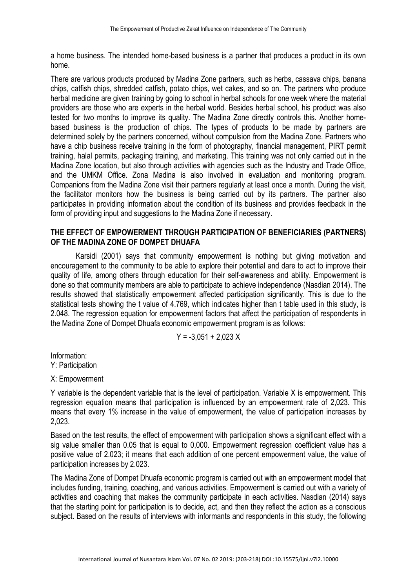a home business. The intended home-based business is a partner that produces a product in its own home.

There are various products produced by Madina Zone partners, such as herbs, cassava chips, banana chips, catfish chips, shredded catfish, potato chips, wet cakes, and so on. The partners who produce herbal medicine are given training by going to school in herbal schools for one week where the material providers are those who are experts in the herbal world. Besides herbal school, his product was also tested for two months to improve its quality. The Madina Zone directly controls this. Another homebased business is the production of chips. The types of products to be made by partners are determined solely by the partners concerned, without compulsion from the Madina Zone. Partners who have a chip business receive training in the form of photography, financial management, PIRT permit training, halal permits, packaging training, and marketing. This training was not only carried out in the Madina Zone location, but also through activities with agencies such as the Industry and Trade Office, and the UMKM Office. Zona Madina is also involved in evaluation and monitoring program. Companions from the Madina Zone visit their partners regularly at least once a month. During the visit, the facilitator monitors how the business is being carried out by its partners. The partner also participates in providing information about the condition of its business and provides feedback in the form of providing input and suggestions to the Madina Zone if necessary.

#### **THE EFFECT OF EMPOWERMENT THROUGH PARTICIPATION OF BENEFICIARIES (PARTNERS) OF THE MADINA ZONE OF DOMPET DHUAFA**

Karsidi (2001) says that community empowerment is nothing but giving motivation and encouragement to the community to be able to explore their potential and dare to act to improve their quality of life, among others through education for their self-awareness and ability. Empowerment is done so that community members are able to participate to achieve independence (Nasdian 2014). The results showed that statistically empowerment affected participation significantly. This is due to the statistical tests showing the t value of 4.769, which indicates higher than t table used in this study, is 2.048. The regression equation for empowerment factors that affect the participation of respondents in the Madina Zone of Dompet Dhuafa economic empowerment program is as follows:

$$
Y = -3,051 + 2,023 X
$$

Information: Y: Participation

X: Empowerment

Y variable is the dependent variable that is the level of participation. Variable X is empowerment. This regression equation means that participation is influenced by an empowerment rate of 2,023. This means that every 1% increase in the value of empowerment, the value of participation increases by 2,023.

Based on the test results, the effect of empowerment with participation shows a significant effect with a sig value smaller than 0.05 that is equal to 0,000. Empowerment regression coefficient value has a positive value of 2.023; it means that each addition of one percent empowerment value, the value of participation increases by 2.023.

The Madina Zone of Dompet Dhuafa economic program is carried out with an empowerment model that includes funding, training, coaching, and various activities. Empowerment is carried out with a variety of activities and coaching that makes the community participate in each activities. Nasdian (2014) says that the starting point for participation is to decide, act, and then they reflect the action as a conscious subject. Based on the results of interviews with informants and respondents in this study, the following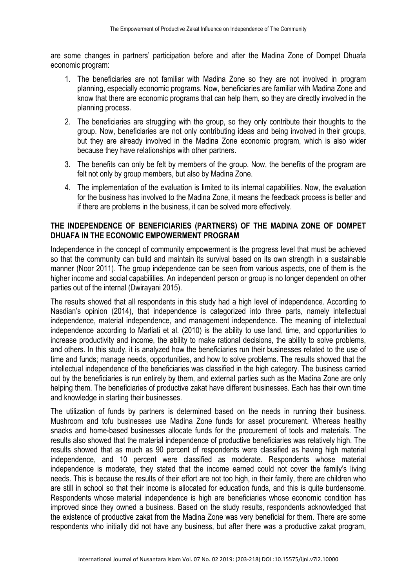are some changes in partners' participation before and after the Madina Zone of Dompet Dhuafa economic program:

- 1. The beneficiaries are not familiar with Madina Zone so they are not involved in program planning, especially economic programs. Now, beneficiaries are familiar with Madina Zone and know that there are economic programs that can help them, so they are directly involved in the planning process.
- 2. The beneficiaries are struggling with the group, so they only contribute their thoughts to the group. Now, beneficiaries are not only contributing ideas and being involved in their groups, but they are already involved in the Madina Zone economic program, which is also wider because they have relationships with other partners.
- 3. The benefits can only be felt by members of the group. Now, the benefits of the program are felt not only by group members, but also by Madina Zone.
- 4. The implementation of the evaluation is limited to its internal capabilities. Now, the evaluation for the business has involved to the Madina Zone, it means the feedback process is better and if there are problems in the business, it can be solved more effectively.

### **THE INDEPENDENCE OF BENEFICIARIES (PARTNERS) OF THE MADINA ZONE OF DOMPET DHUAFA IN THE ECONOMIC EMPOWERMENT PROGRAM**

Independence in the concept of community empowerment is the progress level that must be achieved so that the community can build and maintain its survival based on its own strength in a sustainable manner (Noor 2011). The group independence can be seen from various aspects, one of them is the higher income and social capabilities. An independent person or group is no longer dependent on other parties out of the internal (Dwirayani 2015).

The results showed that all respondents in this study had a high level of independence. According to Nasdian's opinion (2014), that independence is categorized into three parts, namely intellectual independence, material independence, and management independence. The meaning of intellectual independence according to Marliati et al. (2010) is the ability to use land, time, and opportunities to increase productivity and income, the ability to make rational decisions, the ability to solve problems, and others. In this study, it is analyzed how the beneficiaries run their businesses related to the use of time and funds; manage needs, opportunities, and how to solve problems. The results showed that the intellectual independence of the beneficiaries was classified in the high category. The business carried out by the beneficiaries is run entirely by them, and external parties such as the Madina Zone are only helping them. The beneficiaries of productive zakat have different businesses. Each has their own time and knowledge in starting their businesses.

The utilization of funds by partners is determined based on the needs in running their business. Mushroom and tofu businesses use Madina Zone funds for asset procurement. Whereas healthy snacks and home-based businesses allocate funds for the procurement of tools and materials. The results also showed that the material independence of productive beneficiaries was relatively high. The results showed that as much as 90 percent of respondents were classified as having high material independence, and 10 percent were classified as moderate. Respondents whose material independence is moderate, they stated that the income earned could not cover the family's living needs. This is because the results of their effort are not too high, in their family, there are children who are still in school so that their income is allocated for education funds, and this is quite burdensome. Respondents whose material independence is high are beneficiaries whose economic condition has improved since they owned a business. Based on the study results, respondents acknowledged that the existence of productive zakat from the Madina Zone was very beneficial for them. There are some respondents who initially did not have any business, but after there was a productive zakat program,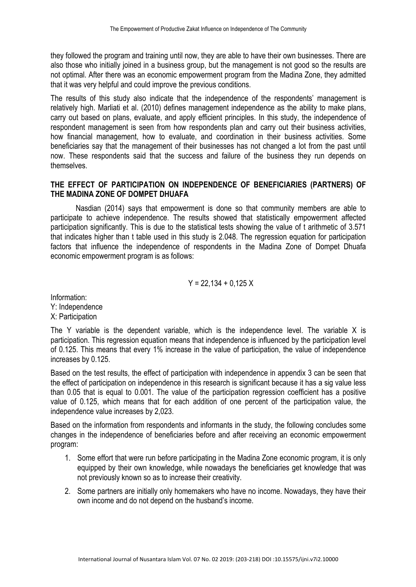they followed the program and training until now, they are able to have their own businesses. There are also those who initially joined in a business group, but the management is not good so the results are not optimal. After there was an economic empowerment program from the Madina Zone, they admitted that it was very helpful and could improve the previous conditions.

The results of this study also indicate that the independence of the respondents' management is relatively high. Marliati et al. (2010) defines management independence as the ability to make plans, carry out based on plans, evaluate, and apply efficient principles. In this study, the independence of respondent management is seen from how respondents plan and carry out their business activities, how financial management, how to evaluate, and coordination in their business activities. Some beneficiaries say that the management of their businesses has not changed a lot from the past until now. These respondents said that the success and failure of the business they run depends on themselves.

## **THE EFFECT OF PARTICIPATION ON INDEPENDENCE OF BENEFICIARIES (PARTNERS) OF THE MADINA ZONE OF DOMPET DHUAFA**

Nasdian (2014) says that empowerment is done so that community members are able to participate to achieve independence. The results showed that statistically empowerment affected participation significantly. This is due to the statistical tests showing the value of t arithmetic of 3.571 that indicates higher than t table used in this study is 2.048. The regression equation for participation factors that influence the independence of respondents in the Madina Zone of Dompet Dhuafa economic empowerment program is as follows:

$$
Y = 22,134 + 0,125 X
$$

Information: Y: Independence X: Participation

The Y variable is the dependent variable, which is the independence level. The variable X is participation. This regression equation means that independence is influenced by the participation level of 0.125. This means that every 1% increase in the value of participation, the value of independence increases by 0.125.

Based on the test results, the effect of participation with independence in appendix 3 can be seen that the effect of participation on independence in this research is significant because it has a sig value less than 0.05 that is equal to 0.001. The value of the participation regression coefficient has a positive value of 0.125, which means that for each addition of one percent of the participation value, the independence value increases by 2,023.

Based on the information from respondents and informants in the study, the following concludes some changes in the independence of beneficiaries before and after receiving an economic empowerment program:

- 1. Some effort that were run before participating in the Madina Zone economic program, it is only equipped by their own knowledge, while nowadays the beneficiaries get knowledge that was not previously known so as to increase their creativity.
- 2. Some partners are initially only homemakers who have no income. Nowadays, they have their own income and do not depend on the husband's income.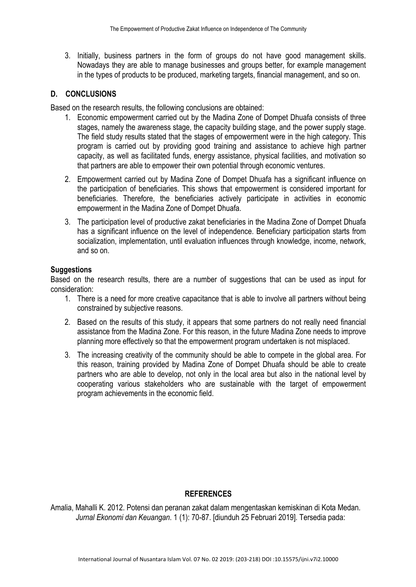3. Initially, business partners in the form of groups do not have good management skills. Nowadays they are able to manage businesses and groups better, for example management in the types of products to be produced, marketing targets, financial management, and so on.

## **D. CONCLUSIONS**

Based on the research results, the following conclusions are obtained:

- 1. Economic empowerment carried out by the Madina Zone of Dompet Dhuafa consists of three stages, namely the awareness stage, the capacity building stage, and the power supply stage. The field study results stated that the stages of empowerment were in the high category. This program is carried out by providing good training and assistance to achieve high partner capacity, as well as facilitated funds, energy assistance, physical facilities, and motivation so that partners are able to empower their own potential through economic ventures.
- 2. Empowerment carried out by Madina Zone of Dompet Dhuafa has a significant influence on the participation of beneficiaries. This shows that empowerment is considered important for beneficiaries. Therefore, the beneficiaries actively participate in activities in economic empowerment in the Madina Zone of Dompet Dhuafa.
- 3. The participation level of productive zakat beneficiaries in the Madina Zone of Dompet Dhuafa has a significant influence on the level of independence. Beneficiary participation starts from socialization, implementation, until evaluation influences through knowledge, income, network, and so on.

### **Suggestions**

Based on the research results, there are a number of suggestions that can be used as input for consideration:

- 1. There is a need for more creative capacitance that is able to involve all partners without being constrained by subjective reasons.
- 2. Based on the results of this study, it appears that some partners do not really need financial assistance from the Madina Zone. For this reason, in the future Madina Zone needs to improve planning more effectively so that the empowerment program undertaken is not misplaced.
- 3. The increasing creativity of the community should be able to compete in the global area. For this reason, training provided by Madina Zone of Dompet Dhuafa should be able to create partners who are able to develop, not only in the local area but also in the national level by cooperating various stakeholders who are sustainable with the target of empowerment program achievements in the economic field.

### **REFERENCES**

Amalia, Mahalli K. 2012. Potensi dan peranan zakat dalam mengentaskan kemiskinan di Kota Medan. *Jurnal Ekonomi dan Keuangan*. 1 (1): 70-87. [diunduh 25 Februari 2019]. Tersedia pada: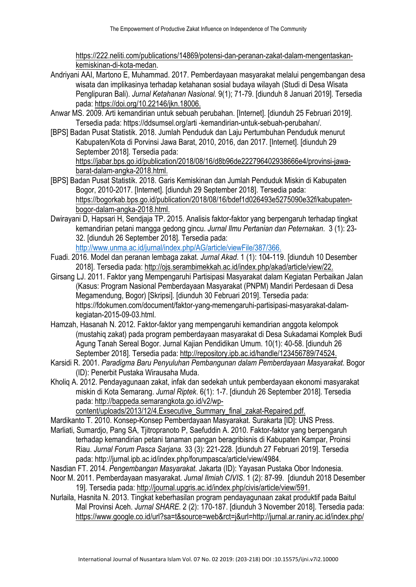https://222.neliti.com/publications/14869/potensi-dan-peranan-zakat-dalam-mengentaskankemiskinan-di-kota-medan.

- Andriyani AAI, Martono E, Muhammad. 2017. Pemberdayaan masyarakat melalui pengembangan desa wisata dan implikasinya terhadap ketahanan sosial budaya wilayah (Studi di Desa Wisata Penglipuran Bali). *Jurnal Ketahanan Nasional*. 9(1); 71-79. [diunduh 8 Januari 2019]. Tersedia pada: https://doi.org/10.22146/jkn.18006.
- Anwar MS. 2009. Arti kemandirian untuk sebuah perubahan. [Internet]. [diunduh 25 Februari 2019]. Tersedia pada: https://ddsumsel.org/arti -kemandirian-untuk-sebuah-perubahan/.
- [BPS] Badan Pusat Statistik. 2018. Jumlah Penduduk dan Laju Pertumbuhan Penduduk menurut Kabupaten/Kota di Porvinsi Jawa Barat, 2010, 2016, dan 2017. [Internet]. [diunduh 29 September 2018]. Tersedia pada:

https://jabar.bps.go.id/publication/2018/08/16/d8b96de222796402938666e4/provinsi-jawabarat-dalam-angka-2018.html.

- [BPS] Badan Pusat Statistik. 2018. Garis Kemiskinan dan Jumlah Penduduk Miskin di Kabupaten Bogor, 2010-2017. [Internet]. [diunduh 29 September 2018]. Tersedia pada: https://bogorkab.bps.go.id/publication/2018/08/16/bdef1d026493e5275090e32f/kabupatenbogor-dalam-angka-2018.html.
- Dwirayani D, Hapsari H, Sendjaja TP. 2015. Analisis faktor-faktor yang berpengaruh terhadap tingkat kemandirian petani mangga gedong gincu. *Jurnal Ilmu Pertanian dan Peternakan*. 3 (1): 23- 32. [diunduh 26 September 2018]. Tersedia pada: http://www.unma.ac.id/jurnal/index.php/AG/article/viewFile/387/366.
- Fuadi. 2016. Model dan peranan lembaga zakat. *Jurnal Akad*. 1 (1): 104-119. [diunduh 10 Desember 2018]. Tersedia pada: http://ojs.serambimekkah.ac.id/index.php/akad/article/view/22.
- Girsang LJ. 2011. Faktor yang Mempengaruhi Partisipasi Masyarakat dalam Kegiatan Perbaikan Jalan (Kasus: Program Nasional Pemberdayaan Masyarakat (PNPM) Mandiri Perdesaan di Desa Megamendung, Bogor) [Skripsi]. [diunduh 30 Februari 2019]. Tersedia pada: https://fdokumen.com/document/faktor-yang-memengaruhi-partisipasi-masyarakat-dalamkegiatan-2015-09-03.html.
- Hamzah, Hasanah N. 2012. Faktor-faktor yang mempengaruhi kemandirian anggota kelompok (mustahiq zakat) pada program pemberdayaan masyarakat di Desa Sukadamai Komplek Budi Agung Tanah Sereal Bogor. Jurnal Kajian Pendidikan Umum. 10(1): 40-58. [diunduh 26 September 2018]. Tersedia pada: http://repository.ipb.ac.id/handle/123456789/74524.
- Karsidi R. 2001. *Paradigma Baru Penyuluhan Pembangunan dalam Pemberdayaan Masyarakat*. Bogor (ID): Penerbit Pustaka Wirausaha Muda.
- Kholiq A. 2012. Pendayagunaan zakat, infak dan sedekah untuk pemberdayaan ekonomi masyarakat miskin di Kota Semarang. *Jurnal Riptek*. 6(1): 1-7. [diunduh 26 September 2018]. Tersedia pada: http://bappeda.semarangkota.go.id/v2/wp-

content/uploads/2013/12/4.Exsecutive\_Summary\_final\_zakat-Repaired.pdf.

- Mardikanto T. 2010. Konsep-Konsep Pemberdayaan Masyarakat. Surakarta [ID]: UNS Press.
- Marliati, Sumardjo, Pang SA, Tjitropranoto P, Saefuddin A. 2010. Faktor-faktor yang berpengaruh terhadap kemandirian petani tanaman pangan beragribisnis di Kabupaten Kampar, Proinsi Riau. *Jurnal Forum Pasca Sarjana.* 33 (3): 221-228. [diunduh 27 Februari 2019]. Tersedia pada: http://jurnal.ipb.ac.id/index.php/forumpasca/article/view/4984.
- Nasdian FT. 2014. *Pengembangan Masyarakat*. Jakarta (ID): Yayasan Pustaka Obor Indonesia.
- Noor M. 2011. Pemberdayaan masyarakat. *Jurnal Ilmiah CIVIS*. 1 (2): 87-99. [diunduh 2018 Desember 19]. Tersedia pada: http://journal.upgris.ac.id/index.php/civis/article/view/591.
- Nurlaila, Hasnita N. 2013. Tingkat keberhasilan program pendayagunaan zakat produktif pada Baitul Mal Provinsi Aceh. *Jurnal SHARE*. 2 (2): 170-187. [diunduh 3 November 2018]. Tersedia pada: https://www.google.co.id/url?sa=t&source=web&rct=j&url=http://jurnal.ar.raniry.ac.id/index.php/